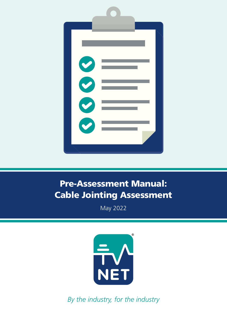

# Pre-Assessment Manual: Cable Jointing Assessment

May 2022



*By the industry, for the industry*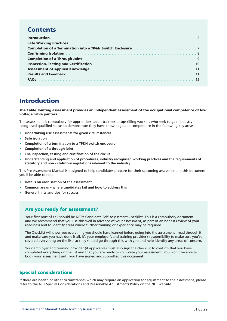# **Contents**

| Completion of a Through Joint Mathematical Completion of a Through Joint Mathematical Completion of a |  |
|-------------------------------------------------------------------------------------------------------|--|
|                                                                                                       |  |
|                                                                                                       |  |
|                                                                                                       |  |
| <b>FAOs</b>                                                                                           |  |

# Introduction

The Cable Jointing assessment provides an independent assessment of the occupational competence of low voltage cable jointers.

The assessment is compulsory for apprentices, adult trainees or upskilling workers who seek to gain industryrecognised qualified status to demonstrate they have knowledge and competence in the following key areas:

- **• Undertaking risk assessments for given circumstances**
- **• Safe isolation**
- **• Completion of a termination to a TP&N switch enclosure**
- **• Completion of a through joint**
- **• The inspection, testing and certification of the circuit**
- **• Understanding and application of procedures, industry recognised working practices and the requirements of statutory and non - statutory regulations relevant to the industry**

This Pre-Assessment Manual is designed to help candidates prepare for their upcoming assessment. In this document you'll be able to read:

- **• Details on each section of the assessment**
- **• Common areas where candidates fail and how to address this**
- **• General hints and tips for success**

### Are you ready for assessment?

Your first port of call should be NET's Candidate Self-Assessment Checklist. This is a compulsory document and we recommend that you use this well in advance of your assessment, as part of an honest review of your readiness and to identify areas where further training or experience may be required.

The Checklist will show you everything you should have learned before going into the assessment - read through it and make sure you have done it all. It's your employer's and training provider's responsibility to make sure you've covered everything on the list, so they should go through this with you and help identify any areas of concern.

Your employer and training provider (if applicable) must also sign the checklist to confirm that you have completed everything on the list and that you are ready to complete your assessment. You won't be able to book your assessment until you have signed and submitted this document.

### Special considerations

If there are health or other circumstances which may require an application for adjustment to the assessment, please refer to the NET Special Considerations and Reasonable Adjustments Policy on the NET website.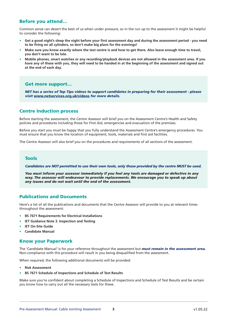### Before you attend…

Common sense can desert the best of us when under pressure, so in the run up to the assessment it might be helpful to consider the following:

- **• Get a good night's sleep the night before your first assessment day and during the assessment period you need to be firing on all cylinders, so don't make big plans for the evenings!**
- **• Make sure you know exactly where the test centre is and how to get there. Also leave enough time to travel, you don't want to be late.**
- **• Mobile phones, smart watches or any recording/playback devices are not allowed in the assessment area. If you have any of these with you, they will need to be handed in at the beginning of the assessment and signed out at the end of each day.**

### Get more support…

*NET has a series of Top Tips videos to support candidates in preparing for their assessment - please visit* www.netservices.org.uk/videos *for more details.*

### Centre Induction process

Before starting the assessment, the Centre Assessor will brief you on the Assessment Centre's Health and Safety policies and procedures including those for First Aid, emergencies and evacuation of the premises.

Before you start you must be happy that you fully understand the Assessment Centre's emergency procedures. You must ensure that you know the location of equipment, tools, materials and first aid facilities.

The Centre Assessor will also brief you on the procedures and requirements of all sections of the assessment.

### Tools

*Candidates are NOT permitted to use their own tools, only those provided by the centre MUST be used.*

*You must inform your assessor immediately if you feel any tools are damaged or defective in any way. The assessor will endeavour to provide replacements. We encourage you to speak up about any issues and do not wait until the end of the assessment.* 

### Publications and Documents

Here's a list of all the publications and documents that the Centre Assessor will provide to you at relevant times throughout the assessment:

- **• BS 7671 Requirements for Electrical Installations**
- **• IET Guidance Note 3. Inspection and Testing**
- **• IET On-Site Guide**
- **• Candidate Manual**

### Know your Paperwork

The 'Candidate Manual' is for your reference throughout the assessment but *must remain in the assessment area.* Non-compliance with this procedure will result in you being disqualified from the assessment.

When required, the following additional documents will be provided:

- **• Risk Assessment**
- **• BS 7671 Schedule of Inspections and Schedule of Test Results**

Make sure you're confident about completing a Schedule of Inspections and Schedule of Test Results and be certain you know how to carry out all the necessary tests for these.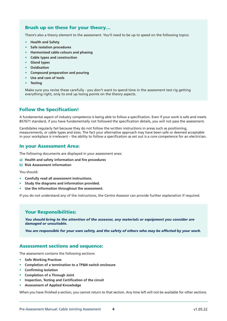### Brush up on these for your theory…

There's also a theory element to the assessment. You'll need to be up to speed on the following topics:

- **• Health and Safety**
- **• Safe isolation procedures**
- **• Harmonised cable colours and phasing**
- **• Cable types and construction**
- **• Gland types**
- **• Oxidisation**
- **• Compound preparation and pouring**
- **• Use and care of tools**
- **• Testing**

Make sure you revise these carefully - you don't want to spend time in the assessment test rig getting everything right, only to end up losing points on the theory aspects.

### Follow the Specification!

A fundamental aspect of industry competence is being able to follow a specification. Even if your work is safe and meets BS7671 standard, if you have fundamentally not followed the specification details, you will not pass the assessment.

Candidates regularly fail because they do not follow the written instructions in areas such as positioning, measurements, or cable types and sizes. The fact your alternative approach may have been safe or deemed acceptable in your workplace is irrelevant – the ability to follow a specification as set out is a core competence for an electrician.

### In your Assessment Area:

The following documents are displayed in your assessment area:

- **a) Health and safety information and fire procedures**
- **b) Risk Assessment information**

You should:

- **• Carefully read all assessment instructions.**
- **• Study the diagrams and information provided.**
- **• Use the information throughout the assessment.**

If you do not understand any of the instructions, the Centre Assessor can provide further explanation if required.

### Your Responsibilities:

*You should bring to the attention of the assessor, any materials or equipment you consider are damaged or unsuitable.*

*You are responsible for your own safety, and the safety of others who may be affected by your work.*

### Assessment sections and sequence:

The assessment contains the following sections:

- **• Safe Working Practices**
- **• Completion of a termination to a TP&N switch enclosure**
- **• Confirming Isolation**
- **• Completion of a Through Joint**
- **• Inspection, Testing and Certification of the circuit**
- **• Assessment of Applied Knowledge**

When you have finished a section, you cannot return to that section. Any time left will not be available for other sections.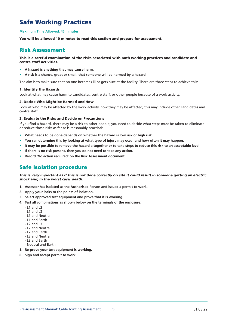# Safe Working Practices

#### **Maximum Time Allowed: 45 minutes.**

You will be allowed 10 minutes to read this section and prepare for assessment.

### Risk Assessment

### This is a careful examination of the risks associated with both working practices and candidate and centre staff activities.

- **• A hazard is anything that may cause harm.**
- **• A risk is a chance, great or small, that someone will be harmed by a hazard.**

The aim is to make sure that no one becomes ill or gets hurt at the facility. There are three steps to achieve this:

### 1. Identify the Hazards

Look at what may cause harm to candidates, centre staff, or other people because of a work activity.

#### 2. Decide Who Might be Harmed and How

Look at who may be affected by the work activity, how they may be affected; this may include other candidates and centre staff.

### 3. Evaluate the Risks and Decide on Precautions

If you find a hazard, there may be a risk to other people; you need to decide what steps must be taken to eliminate or reduce those risks as far as is reasonably practical:

- **• What needs to be done depends on whether the hazard is low risk or high risk.**
- **• You can determine this by looking at what type of injury may occur and how often it may happen.**
- **• It may be possible to remove the hazard altogether or to take steps to reduce this risk to an acceptable level.**
- **• If there is no risk present, then you do not need to take any action.**
- **• Record 'No action required' on the Risk Assessment document.**

## Safe Isolation procedure

### *This is very important as if this is not done correctly on site it could result in someone getting an electric shock and, in the worst case, death.*

- **1. Assessor has isolated as the Authorised Person and issued a permit to work.**
- **2. Apply your locks to the points of isolation.**
- **3. Select approved test equipment and prove that it is working.**
- **4. Test all combinations as shown below on the terminals of the enclosure:**
	- L1 and L2
	- L1 and L3
	- L1 and Neutral
	- L1 and Earth
	- $-12$  and L3
	- L2 and Neutral
	- L2 and Earth
	- L3 and Neutral
	- L3 and Earth
	- Neutral and Earth
- **5. Re-prove your test equipment is working.**
- **6. Sign and accept permit to work.**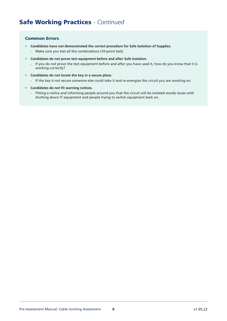- **• Candidates have not demonstrated the correct procedure for Safe Isolation of Supplies.**
	- Make sure you test all the combinations (10-point test).
- **• Candidates do not prove test equipment before and after Safe Isolation.**
	- If you do not prove the test equipment before and after you have used it, how do you know that it is working correctly?
- **• Candidates do not locate the key in a secure place.**
	- If the key is not secure someone else could take it and re-energize the circuit you are working on.
- **• Candidates do not fit warning notices.**
	- Fitting a notice and informing people around you that the circuit will be isolated avoids issues with shutting down IT equipment and people trying to switch equipment back on.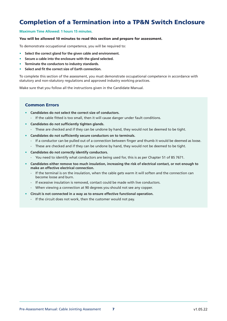# Completion of a Termination into a TP&N Switch Enclosure

### **Maximum Time Allowed: 1 hours 15 minutes.**

### You will be allowed 10 minutes to read this section and prepare for assessment.

To demonstrate occupational competence, you will be required to:

- **• Select the correct gland for the given cable and environment.**
- **• Secure a cable into the enclosure with the gland selected.**
- **• Terminate the conductors to industry standards.**
- **• Select and fit the correct size of Earth connection.**

To complete this section of the assessment, you must demonstrate occupational competence in accordance with statutory and non-statutory regulations and approved industry working practices.

Make sure that you follow all the instructions given in the Candidate Manual.

- **• Candidates do not select the correct size of conductors.**
	- If the cable fitted is too small, then it will cause danger under fault conditions.
- **• Candidates do not sufficiently tighten glands.**
	- These are checked and if they can be undone by hand, they would not be deemed to be tight.
- **• Candidates do not sufficiently secure conductors on to terminals.**
	- If a conductor can be pulled out of a connection between finger and thumb it would be deemed as loose.
	- These are checked and if they can be undone by hand, they would not be deemed to be tight.
- **• Candidates do not correctly identify conductors.**
	- You need to identify what conductors are being used for, this is as per Chapter 51 of BS 7671.
- **• Candidates either remove too much insulation, increasing the risk of electrical contact, or not enough to make an effective electrical connection.**
	- If the terminal is on the insulation, when the cable gets warm it will soften and the connection can become loose and burn.
	- If excessive insulation is removed, contact could be made with live conductors.
	- When viewing a connection at 90 degrees you should not see any copper.
- **• Circuit is not connected in a way as to ensure effective functional operation.**
	- If the circuit does not work, then the customer would not pay.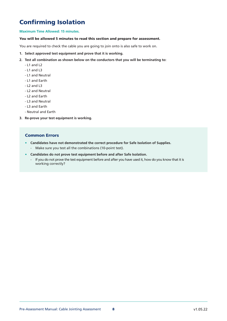# Confirming Isolation

### **Maximum Time Allowed: 15 minutes.**

### You will be allowed 5 minutes to read this section and prepare for assessment.

You are required to check the cable you are going to join onto is also safe to work on.

- **1. Select approved test equipment and prove that it is working.**
- **2. Test all combination as shown below on the conductors that you will be terminating to:**
	- L1 and L2
	- $-11$  and L3
	- L1 and Neutral
	- L1 and Earth
	- L2 and L3
	- L2 and Neutral
	- L2 and Earth
	- L3 and Neutral
	- L3 and Earth
	- Neutral and Earth
- **3. Re-prove your test equipment is working.**

- **• Candidates have not demonstrated the correct procedure for Safe Isolation of Supplies.**
	- Make sure you test all the combinations (10-point test).
- **• Candidates do not prove test equipment before and after Safe Isolation.**
	- If you do not prove the test equipment before and after you have used it, how do you know that it is working correctly?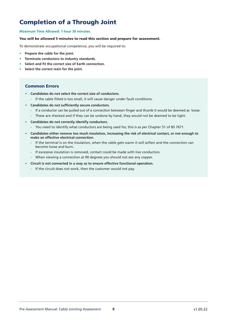# Completion of a Through Joint

### **Maximum Time Allowed: 1 hour 30 minutes.**

### You will be allowed 5 minutes to read this section and prepare for assessment.

To demonstrate occupational competence, you will be required to:

- **• Prepare the cable for the joint.**
- **• Terminate conductors to industry standards.**
- **• Select and fit the correct size of Earth connection.**
- **• Select the correct resin for the joint.**

- **• Candidates do not select the correct size of conductors.**
	- If the cable fitted is too small, it will cause danger under fault conditions.
- **• Candidates do not sufficiently secure conductors.**
	- If a conductor can be pulled out of a connection between finger and thumb it would be deemed as loose.
	- These are checked and if they can be undone by hand, they would not be deemed to be tight.
- **• Candidates do not correctly identify conductors.**
	- You need to identify what conductors are being used for, this is as per Chapter 51 of BS 7671.
- **• Candidates either remove too much insulation, increasing the risk of electrical contact, or not enough to make an effective electrical connection.**
	- If the terminal is on the insulation, when the cable gets warm it will soften and the connection can become loose and burn.
	- If excessive insulation is removed, contact could be made with live conductors.
	- When viewing a connection at 90 degrees you should not see any copper.
- **• Circuit is not connected in a way as to ensure effective functional operation.**
	- If the circuit does not work, then the customer would not pay.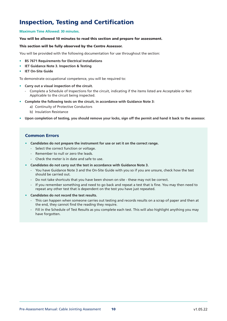# Inspection, Testing and Certification

### **Maximum Time Allowed: 30 minutes.**

### You will be allowed 10 minutes to read this section and prepare for assessment.

### This section will be fully observed by the Centre Assessor.

You will be provided with the following documentation for use throughout the section:

- **• BS 7671 Requirements for Electrical Installations**
- **• IET Guidance Note 3. Inspection & Testing**
- **• IET On-Site Guide**

To demonstrate occupational competence, you will be required to:

- **• Carry out a visual inspection of the circuit.**
	- Complete a Schedule of Inspections for the circuit, indicating if the items listed are Acceptable or Not Applicable to the circuit being inspected.
- **• Complete the following tests on the circuit, in accordance with Guidance Note 3:**
	- a) Continuity of Protective Conductors
	- b) Insulation Resistance
- **• Upon completion of testing, you should remove your locks, sign off the permit and hand it back to the assessor.**

- **• Candidates do not prepare the instrument for use or set it on the correct range.**
	- Select the correct function or voltage.
	- Remember to null or zero the leads.
	- Check the meter is in date and safe to use.
- **• Candidates do not carry out the test in accordance with Guidance Note 3.**
	- You have Guidance Note 3 and the On-Site Guide with you so if you are unsure, check how the test should be carried out.
	- Do not take shortcuts that you have been shown on site these may not be correct.
	- If you remember something and need to go back and repeat a test that is fine. You may then need to repeat any other test that is dependent on the test you have just repeated.
- **• Candidates do not record the test results.**
	- This can happen when someone carries out testing and records results on a scrap of paper and then at the end, they cannot find the reading they require.
	- Fill in the Schedule of Test Results as you complete each test. This will also highlight anything you may have forgotten.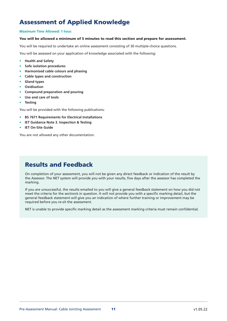# Assessment of Applied Knowledge

### **Maximum Time Allowed: 1 hour.**

### You will be allowed a minimum of 5 minutes to read this section and prepare for assessment.

You will be required to undertake an online assessment consisting of 30 multiple-choice questions.

You will be assessed on your application of knowledge associated with the following:

- **• Health and Safety**
- **• Safe isolation procedures**
- **• Harmonised cable colours and phasing**
- **• Cable types and construction**
- **• Gland types**
- **• Oxidisation**
- **• Compound preparation and pouring**
- **• Use and care of tools**
- **• Testing**

You will be provided with the following publications:

- **• BS 7671 Requirements for Electrical Installations**
- **• IET Guidance Note 3. Inspection & Testing**
- **• IET On-Site Guide**

You are not allowed any other documentation.

# Results and Feedback

On completion of your assessment, you will not be given any direct feedback or indication of the result by the Assessor. The NET system will provide you with your results, five days after the assessor has completed the marking.

If you are unsuccessful, the results emailed to you will give a general feedback statement on how you did not meet the criteria for the section/s in question. It will not provide you with a specific marking detail, but the general feedback statement will give you an indication of where further training or improvement may be required before you re-sit the assessment.

NET is unable to provide specific marking detail as the assessment marking criteria must remain confidential.